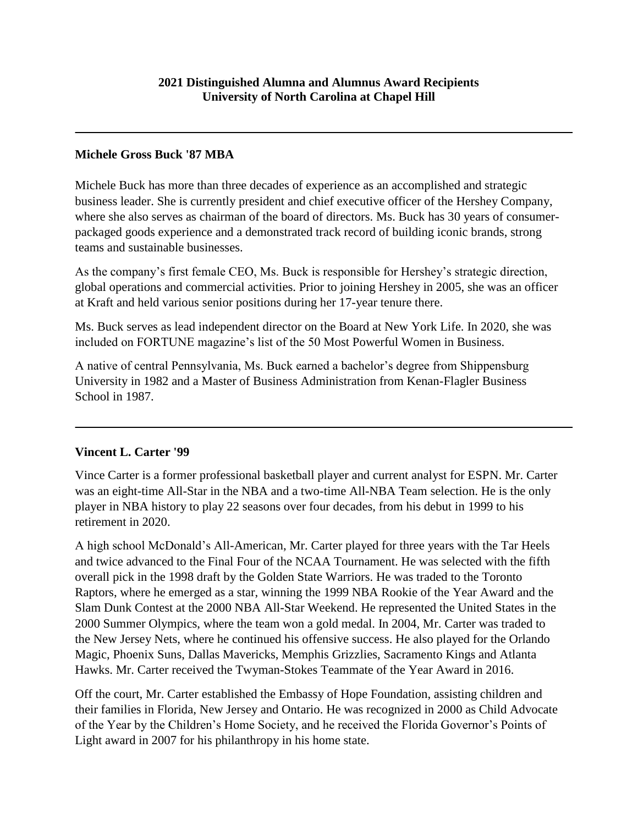### **Michele Gross Buck '87 MBA**

Michele Buck has more than three decades of experience as an accomplished and strategic business leader. She is currently president and chief executive officer of the Hershey Company, where she also serves as chairman of the board of directors. Ms. Buck has 30 years of consumerpackaged goods experience and a demonstrated track record of building iconic brands, strong teams and sustainable businesses.

As the company's first female CEO, Ms. Buck is responsible for Hershey's strategic direction, global operations and commercial activities. Prior to joining Hershey in 2005, she was an officer at Kraft and held various senior positions during her 17-year tenure there.

Ms. Buck serves as lead independent director on the Board at New York Life. In 2020, she was included on FORTUNE magazine's list of the 50 Most Powerful Women in Business.

A native of central Pennsylvania, Ms. Buck earned a bachelor's degree from Shippensburg University in 1982 and a Master of Business Administration from Kenan-Flagler Business School in 1987.

#### **Vincent L. Carter '99**

Vince Carter is a former professional basketball player and current analyst for ESPN. Mr. Carter was an eight-time All-Star in the NBA and a two-time All-NBA Team selection. He is the only player in NBA history to play 22 seasons over four decades, from his debut in 1999 to his retirement in 2020.

A high school McDonald's All-American, Mr. Carter played for three years with the Tar Heels and twice advanced to the Final Four of the NCAA Tournament. He was selected with the fifth overall pick in the 1998 draft by the Golden State Warriors. He was traded to the Toronto Raptors, where he emerged as a star, winning the 1999 NBA Rookie of the Year Award and the Slam Dunk Contest at the 2000 NBA All-Star Weekend. He represented the United States in the 2000 Summer Olympics, where the team won a gold medal. In 2004, Mr. Carter was traded to the New Jersey Nets, where he continued his offensive success. He also played for the Orlando Magic, Phoenix Suns, Dallas Mavericks, Memphis Grizzlies, Sacramento Kings and Atlanta Hawks. Mr. Carter received the Twyman-Stokes Teammate of the Year Award in 2016.

Off the court, Mr. Carter established the Embassy of Hope Foundation, assisting children and their families in Florida, New Jersey and Ontario. He was recognized in 2000 as Child Advocate of the Year by the Children's Home Society, and he received the Florida Governor's Points of Light award in 2007 for his philanthropy in his home state.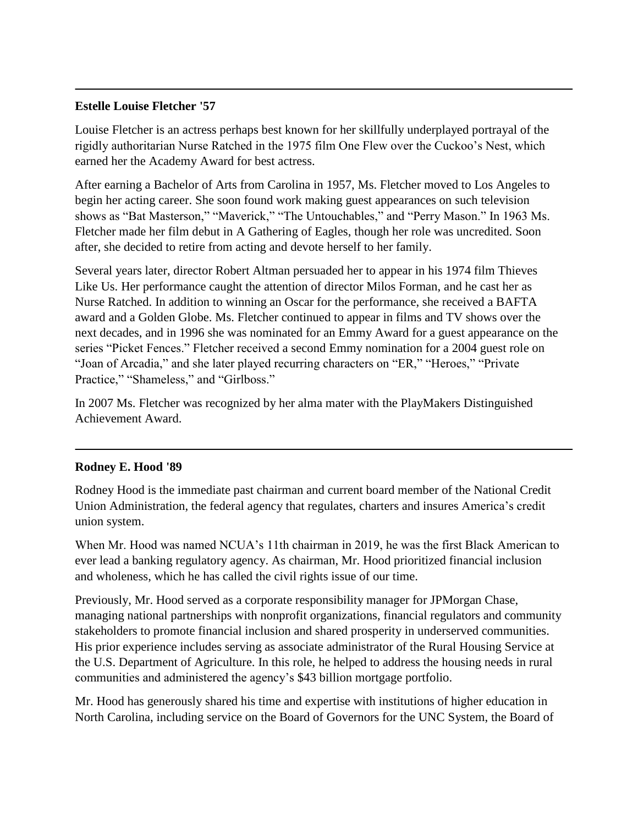#### **Estelle Louise Fletcher '57**

Louise Fletcher is an actress perhaps best known for her skillfully underplayed portrayal of the rigidly authoritarian Nurse Ratched in the 1975 film One Flew over the Cuckoo's Nest, which earned her the Academy Award for best actress.

After earning a Bachelor of Arts from Carolina in 1957, Ms. Fletcher moved to Los Angeles to begin her acting career. She soon found work making guest appearances on such television shows as "Bat Masterson," "Maverick," "The Untouchables," and "Perry Mason." In 1963 Ms. Fletcher made her film debut in A Gathering of Eagles, though her role was uncredited. Soon after, she decided to retire from acting and devote herself to her family.

Several years later, director Robert Altman persuaded her to appear in his 1974 film Thieves Like Us. Her performance caught the attention of director Milos Forman, and he cast her as Nurse Ratched. In addition to winning an Oscar for the performance, she received a BAFTA award and a Golden Globe. Ms. Fletcher continued to appear in films and TV shows over the next decades, and in 1996 she was nominated for an Emmy Award for a guest appearance on the series "Picket Fences." Fletcher received a second Emmy nomination for a 2004 guest role on "Joan of Arcadia," and she later played recurring characters on "ER," "Heroes," "Private Practice," "Shameless," and "Girlboss."

In 2007 Ms. Fletcher was recognized by her alma mater with the PlayMakers Distinguished Achievement Award.

# **Rodney E. Hood '89**

Rodney Hood is the immediate past chairman and current board member of the National Credit Union Administration, the federal agency that regulates, charters and insures America's credit union system.

When Mr. Hood was named NCUA's 11th chairman in 2019, he was the first Black American to ever lead a banking regulatory agency. As chairman, Mr. Hood prioritized financial inclusion and wholeness, which he has called the civil rights issue of our time.

Previously, Mr. Hood served as a corporate responsibility manager for JPMorgan Chase, managing national partnerships with nonprofit organizations, financial regulators and community stakeholders to promote financial inclusion and shared prosperity in underserved communities. His prior experience includes serving as associate administrator of the Rural Housing Service at the U.S. Department of Agriculture. In this role, he helped to address the housing needs in rural communities and administered the agency's \$43 billion mortgage portfolio.

Mr. Hood has generously shared his time and expertise with institutions of higher education in North Carolina, including service on the Board of Governors for the UNC System, the Board of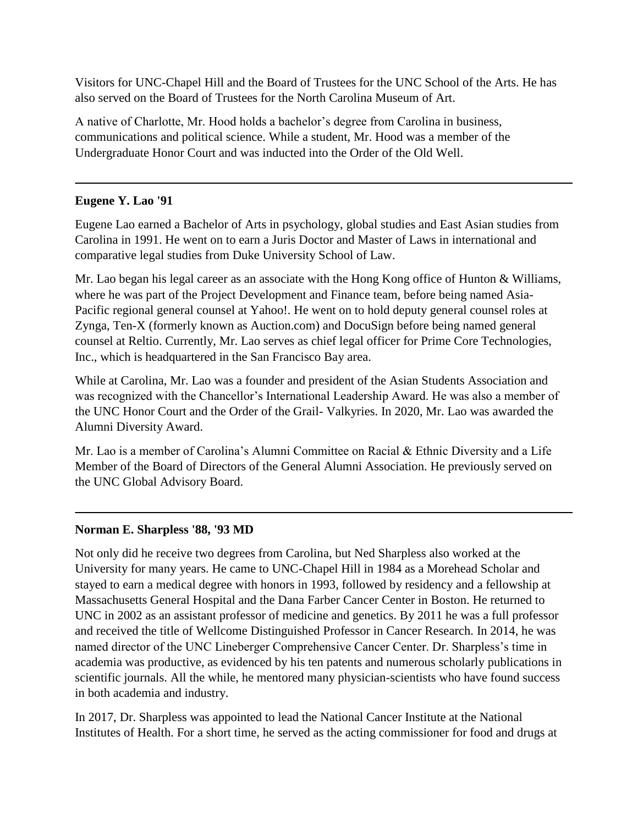Visitors for UNC-Chapel Hill and the Board of Trustees for the UNC School of the Arts. He has also served on the Board of Trustees for the North Carolina Museum of Art.

A native of Charlotte, Mr. Hood holds a bachelor's degree from Carolina in business, communications and political science. While a student, Mr. Hood was a member of the Undergraduate Honor Court and was inducted into the Order of the Old Well.

### **Eugene Y. Lao '91**

Eugene Lao earned a Bachelor of Arts in psychology, global studies and East Asian studies from Carolina in 1991. He went on to earn a Juris Doctor and Master of Laws in international and comparative legal studies from Duke University School of Law.

Mr. Lao began his legal career as an associate with the Hong Kong office of Hunton & Williams, where he was part of the Project Development and Finance team, before being named Asia-Pacific regional general counsel at Yahoo!. He went on to hold deputy general counsel roles at Zynga, Ten-X (formerly known as Auction.com) and DocuSign before being named general counsel at Reltio. Currently, Mr. Lao serves as chief legal officer for Prime Core Technologies, Inc., which is headquartered in the San Francisco Bay area.

While at Carolina, Mr. Lao was a founder and president of the Asian Students Association and was recognized with the Chancellor's International Leadership Award. He was also a member of the UNC Honor Court and the Order of the Grail- Valkyries. In 2020, Mr. Lao was awarded the Alumni Diversity Award.

Mr. Lao is a member of Carolina's Alumni Committee on Racial & Ethnic Diversity and a Life Member of the Board of Directors of the General Alumni Association. He previously served on the UNC Global Advisory Board.

# **Norman E. Sharpless '88, '93 MD**

Not only did he receive two degrees from Carolina, but Ned Sharpless also worked at the University for many years. He came to UNC-Chapel Hill in 1984 as a Morehead Scholar and stayed to earn a medical degree with honors in 1993, followed by residency and a fellowship at Massachusetts General Hospital and the Dana Farber Cancer Center in Boston. He returned to UNC in 2002 as an assistant professor of medicine and genetics. By 2011 he was a full professor and received the title of Wellcome Distinguished Professor in Cancer Research. In 2014, he was named director of the UNC Lineberger Comprehensive Cancer Center. Dr. Sharpless's time in academia was productive, as evidenced by his ten patents and numerous scholarly publications in scientific journals. All the while, he mentored many physician-scientists who have found success in both academia and industry.

In 2017, Dr. Sharpless was appointed to lead the National Cancer Institute at the National Institutes of Health. For a short time, he served as the acting commissioner for food and drugs at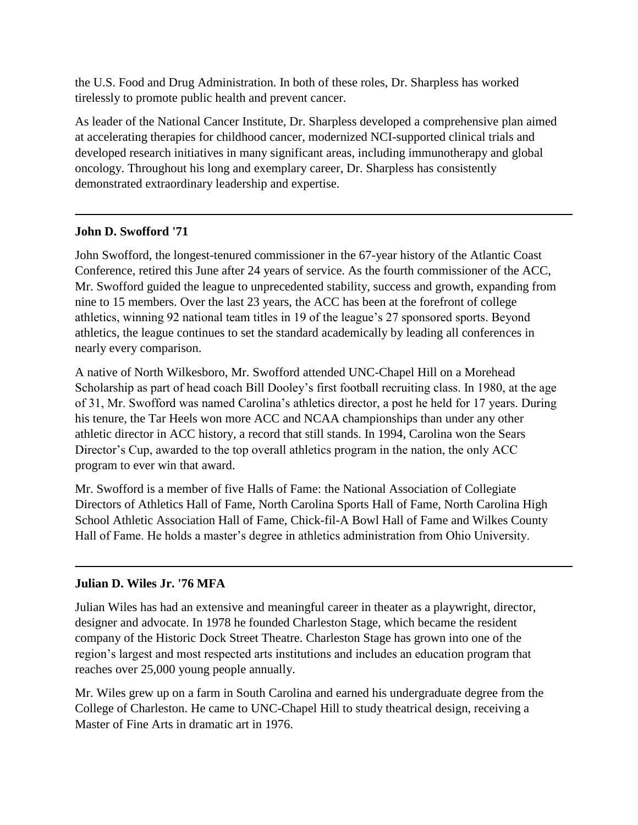the U.S. Food and Drug Administration. In both of these roles, Dr. Sharpless has worked tirelessly to promote public health and prevent cancer.

As leader of the National Cancer Institute, Dr. Sharpless developed a comprehensive plan aimed at accelerating therapies for childhood cancer, modernized NCI-supported clinical trials and developed research initiatives in many significant areas, including immunotherapy and global oncology. Throughout his long and exemplary career, Dr. Sharpless has consistently demonstrated extraordinary leadership and expertise.

### **John D. Swofford '71**

John Swofford, the longest-tenured commissioner in the 67-year history of the Atlantic Coast Conference, retired this June after 24 years of service. As the fourth commissioner of the ACC, Mr. Swofford guided the league to unprecedented stability, success and growth, expanding from nine to 15 members. Over the last 23 years, the ACC has been at the forefront of college athletics, winning 92 national team titles in 19 of the league's 27 sponsored sports. Beyond athletics, the league continues to set the standard academically by leading all conferences in nearly every comparison.

A native of North Wilkesboro, Mr. Swofford attended UNC-Chapel Hill on a Morehead Scholarship as part of head coach Bill Dooley's first football recruiting class. In 1980, at the age of 31, Mr. Swofford was named Carolina's athletics director, a post he held for 17 years. During his tenure, the Tar Heels won more ACC and NCAA championships than under any other athletic director in ACC history, a record that still stands. In 1994, Carolina won the Sears Director's Cup, awarded to the top overall athletics program in the nation, the only ACC program to ever win that award.

Mr. Swofford is a member of five Halls of Fame: the National Association of Collegiate Directors of Athletics Hall of Fame, North Carolina Sports Hall of Fame, North Carolina High School Athletic Association Hall of Fame, Chick-fil-A Bowl Hall of Fame and Wilkes County Hall of Fame. He holds a master's degree in athletics administration from Ohio University.

# **Julian D. Wiles Jr. '76 MFA**

Julian Wiles has had an extensive and meaningful career in theater as a playwright, director, designer and advocate. In 1978 he founded Charleston Stage, which became the resident company of the Historic Dock Street Theatre. Charleston Stage has grown into one of the region's largest and most respected arts institutions and includes an education program that reaches over 25,000 young people annually.

Mr. Wiles grew up on a farm in South Carolina and earned his undergraduate degree from the College of Charleston. He came to UNC-Chapel Hill to study theatrical design, receiving a Master of Fine Arts in dramatic art in 1976.